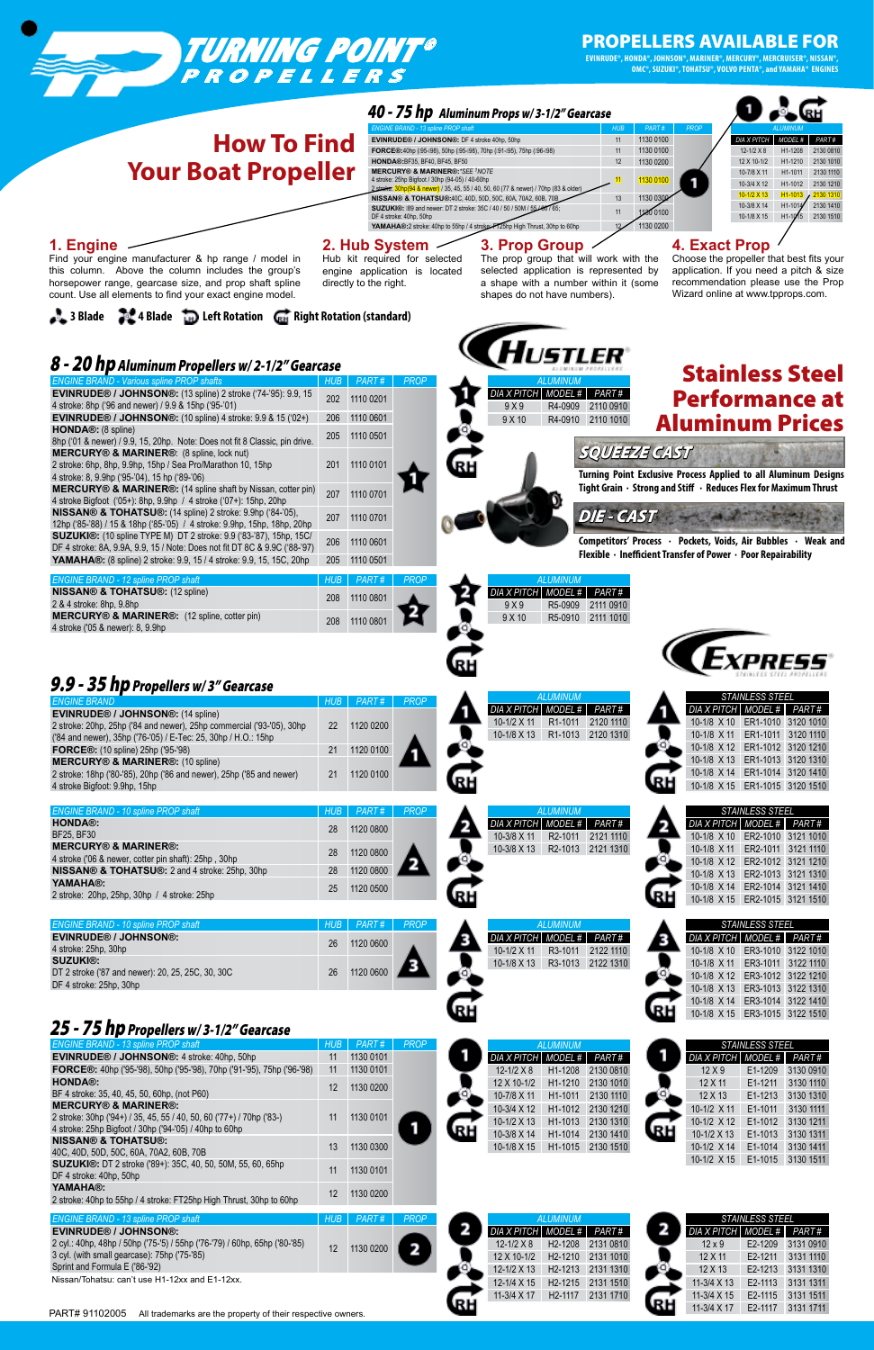DF 4 stroke: 25hp, 30hp

10-1/8 X 13 ER3-1013 3122 1310 10-1/8 X 14 ER3-1014 3122 1410 10-1/8 X 15 ER3-1015 3122 1510

RH



|                                                                                                                                                         |            |                                                                                                          | 40 - 75 hp Aluminum Props w/3-1/2" Gearcase                                                                                                              |                                        |                                                                                                                 |
|---------------------------------------------------------------------------------------------------------------------------------------------------------|------------|----------------------------------------------------------------------------------------------------------|----------------------------------------------------------------------------------------------------------------------------------------------------------|----------------------------------------|-----------------------------------------------------------------------------------------------------------------|
|                                                                                                                                                         |            | <b>ENGINE BRAND - 13 spline PROP shaft</b>                                                               |                                                                                                                                                          | <b>HUB</b>                             | PART#<br><b>PROP</b>                                                                                            |
| <b>How To Find</b>                                                                                                                                      |            | EVINRUDE® / JOHNSON®: DF 4 stroke 40hp, 50hp                                                             | FORCE®:40hp (195-198), 50hp (195-198), 70hp (191-195), 75hp (196-198)                                                                                    | 11<br>11                               | 1130 0100<br>PART#<br><b>DIA X PITCH</b><br>MODEL #<br>1130 0100<br>$12 - 1/2 \times 8$<br>2130 0810<br>H1-1208 |
|                                                                                                                                                         |            | HONDA®: BF35, BF40, BF45, BF50                                                                           |                                                                                                                                                          | 12                                     | 1130 0200<br>12 X 10-1/2<br>H1-1210<br>2130 1010                                                                |
| <b>Your Boat Propeller</b>                                                                                                                              |            | <b>MERCURY® &amp; MARINER®: *SEE <sup>1</sup>NOTE</b><br>4 stroke: 25hp Bigfoot / 30hp (94-05) / 40-60hp |                                                                                                                                                          |                                        | 10-7/8 X 11<br>H1-1011<br>2130 1110<br>1130 0100<br>10-3/4 X 12<br>H1-1012<br>2130 1210                         |
|                                                                                                                                                         |            |                                                                                                          | <mark>hp(94 &amp; newer)</mark> / 35, 45, 55 / 40, 50, 60 (77 & newer) / 70hp (83 & older)<br>NISSAN® & TOHATSU®:40C, 40D, 50D, 50C, 60A, 70A2, 60B, 70B | 13                                     | $10-1/2$ X 13<br>H1-1013<br>2130 1310<br>1130 030                                                               |
|                                                                                                                                                         |            | DF 4 stroke: 40hp, 50hp                                                                                  | SUZUKI®: I89 and newer: DT 2 stroke: 35C / 40 / 50 / 50M / 55 / 60 / 65;                                                                                 | 11                                     | 2130 1410<br>10-3/8 X 14<br>H1-1014<br>1130 0100<br>10-1/8 X 15<br>H1-1015 2130 1510                            |
|                                                                                                                                                         |            |                                                                                                          | YAMAHA®:2 stroke: 40hp to 55hp / 4 stroke: F125hp High Thrust, 30hp to 60hp                                                                              |                                        | 1130 0200                                                                                                       |
| 1. Engine                                                                                                                                               |            | 2. Hub System                                                                                            | 3. Prop Group                                                                                                                                            |                                        | <b>4. Exact Prop</b>                                                                                            |
| Find your engine manufacturer & hp range / model in<br>this column. Above the column includes the group's                                               |            | Hub kit required for selected                                                                            | The prop group that will work with the<br>selected application is represented by                                                                         |                                        | Choose the propeller that best fits your<br>application. If you need a pitch & size                             |
| horsepower range, gearcase size, and prop shaft spline                                                                                                  |            | engine application is located<br>directly to the right.                                                  | a shape with a number within it (some                                                                                                                    |                                        | recommendation please use the Prop                                                                              |
| count. Use all elements to find your exact engine model.                                                                                                |            |                                                                                                          | shapes do not have numbers).                                                                                                                             |                                        | Wizard online at www.tpprops.com.                                                                               |
| 3 Blade 2 4 Blade 1 Left Rotation G Right Rotation (standard)                                                                                           |            |                                                                                                          |                                                                                                                                                          |                                        |                                                                                                                 |
|                                                                                                                                                         |            |                                                                                                          |                                                                                                                                                          |                                        |                                                                                                                 |
|                                                                                                                                                         |            |                                                                                                          |                                                                                                                                                          |                                        |                                                                                                                 |
| 8 - 20 hp Aluminum Propellers w/2-1/2" Gearcase                                                                                                         |            |                                                                                                          |                                                                                                                                                          |                                        |                                                                                                                 |
| <b>ENGINE BRAND - Various spline PROP shafts</b>                                                                                                        | <b>HUB</b> | PART#<br><b>PROP</b>                                                                                     | <b>ALUMINUM</b>                                                                                                                                          |                                        | <b>Stainless Steel</b>                                                                                          |
| <b>EVINRUDE® / JOHNSON®: (13 spline) 2 stroke ('74-'95): 9.9, 15</b>                                                                                    | 202        | 1110 0201                                                                                                | <b>DIA X PITCH</b><br>MODEL #                                                                                                                            | PART #                                 | <b>Performance at</b>                                                                                           |
| 4 stroke: 8hp ('96 and newer) / 9.9 & 15hp ('95-'01)<br><b>EVINRUDE® / JOHNSON®: (10 spline) 4 stroke: 9.9 &amp; 15 ('02+)</b>                          | 206        | 1110 0601                                                                                                | 9X9<br>R4-0909<br>9X10<br>R4-0910                                                                                                                        | 2110 0910<br>2110 1010                 |                                                                                                                 |
| HONDA <sup>®</sup> : (8 spline)                                                                                                                         | 205        | 1110 0501                                                                                                |                                                                                                                                                          |                                        | <b>Aluminum Prices</b>                                                                                          |
| 8hp ('01 & newer) / 9.9, 15, 20hp. Note: Does not fit 8 Classic, pin drive.<br>MERCURY® & MARINER®: (8 spline, lock nut)                                |            |                                                                                                          |                                                                                                                                                          | <b>SQUEEZE CAST</b>                    |                                                                                                                 |
| 2 stroke: 6hp, 8hp, 9.9hp, 15hp / Sea Pro/Marathon 10, 15hp                                                                                             | 201        | 1110 0101                                                                                                |                                                                                                                                                          |                                        |                                                                                                                 |
| 4 stroke: 8, 9.9hp ('95-'04), 15 hp ('89-'06)                                                                                                           |            |                                                                                                          |                                                                                                                                                          |                                        | Turning Point Exclusive Process Applied to all Aluminum Designs                                                 |
| <b>MERCURY® &amp; MARINER®:</b> (14 spline shaft by Nissan, cotter pin)<br>4 stroke Bigfoot ('05+): 8hp, 9.9hp / 4 stroke ('07+): 15hp, 20hp            | 207        | 1110 0701                                                                                                |                                                                                                                                                          |                                        | Tight Grain · Strong and Stiff · Reduces Flex for Maximum Thrust                                                |
| NISSAN® & TOHATSU®: (14 spline) 2 stroke: 9.9hp ('84-'05),                                                                                              | 207        | 1110 0701                                                                                                |                                                                                                                                                          | <b>DIE - CAST</b>                      |                                                                                                                 |
| 12hp ('85-'88) / 15 & 18hp ('85-'05) / 4 stroke: 9.9hp, 15hp, 18hp, 20hp                                                                                |            |                                                                                                          |                                                                                                                                                          |                                        |                                                                                                                 |
| <b>SUZUKI®:</b> (10 spline TYPE M) DT 2 stroke: 9.9 ('83-'87), 15hp, 15C/<br>DF 4 stroke: 8A, 9.9A, 9.9, 15 / Note: Does not fit DT 8C & 9.9C ('88-'97) | 206        | 1110 0601                                                                                                |                                                                                                                                                          |                                        | Competitors' Process · Pockets, Voids, Air Bubbles · Weak and                                                   |
| <b>YAMAHA®:</b> (8 spline) 2 stroke: 9.9, 15 / 4 stroke: 9.9, 15, 15C, 20hp                                                                             | <b>205</b> | 1110 0501                                                                                                |                                                                                                                                                          |                                        | Flexible · Inefficient Transfer of Power · Poor Repairability                                                   |
| ENGINE BRAND - 12 spline PROP shaft                                                                                                                     |            |                                                                                                          | ALUMINUM                                                                                                                                                 |                                        |                                                                                                                 |
| <b>NISSAN® &amp; TOHATSU®: (12 spline)</b>                                                                                                              | 208        | 1110 0801                                                                                                | <b>DIA X PITCH</b>                                                                                                                                       | MODEL # PART #                         |                                                                                                                 |
| 2 & 4 stroke: 8hp, 9.8hp<br>MERCURY® & MARINER®: (12 spline, cotter pin)                                                                                |            |                                                                                                          | 9X9<br>R5-0909<br>9 X 10                                                                                                                                 | 2111 0910<br>R5-0910 2111 1010         |                                                                                                                 |
| 4 stroke ('05 & newer): 8, 9.9hp                                                                                                                        | 208        | 1110 0801                                                                                                |                                                                                                                                                          |                                        |                                                                                                                 |
|                                                                                                                                                         |            |                                                                                                          |                                                                                                                                                          |                                        |                                                                                                                 |
|                                                                                                                                                         |            |                                                                                                          |                                                                                                                                                          |                                        |                                                                                                                 |
| 9.9 - 35 hp Propellers w/3" Gearcase                                                                                                                    |            |                                                                                                          |                                                                                                                                                          |                                        |                                                                                                                 |
| <b>ENGINE BRAND</b>                                                                                                                                     | <b>HUB</b> | PART#<br><b>PROP</b>                                                                                     | <b>ALUMINUM</b>                                                                                                                                          |                                        | STAINLESS STEEL                                                                                                 |
| EVINRUDE® / JOHNSON®: (14 spline)                                                                                                                       |            |                                                                                                          | DIA X PITCH MODEL # PART #                                                                                                                               |                                        | DIA X PITCH MODEL # PART #                                                                                      |
| 2 stroke: 20hp, 25hp ('84 and newer), 25hp commercial ('93-'05), 30hp                                                                                   | 22         | 1120 0200                                                                                                | 10-1/2 X 11<br>R <sub>1</sub> -1011<br>10-1/8 X 13                                                                                                       | 2120 1110<br>R1-1013 2120 1310         | 10-1/8 X 10<br>ER1-1010 3120 1010<br>10-1/8 X 11<br>ER1-1011 3120 1110                                          |
| ('84 and newer), 35hp ('76-'05) / E-Tec: 25, 30hp / H.O.: 15hp<br>FORCE®: (10 spline) 25hp ('95-'98)                                                    | 21         | 1120 0100                                                                                                |                                                                                                                                                          |                                        | 10-1/8 X 12 ER1-1012 3120 1210                                                                                  |
| <b>MERCURY® &amp; MARINER®: (10 spline)</b>                                                                                                             |            |                                                                                                          |                                                                                                                                                          |                                        | 10-1/8 X 13<br>ER1-1013 3120 1310                                                                               |
| 2 stroke: 18hp ('80-'85), 20hp ('86 and newer), 25hp ('85 and newer)                                                                                    | 21         | 1120 0100                                                                                                |                                                                                                                                                          |                                        | 10-1/8 X 14<br>ER1-1014 3120 1410<br>10-1/8 X 15 ER1-1015 3120 1510                                             |
| 4 stroke Bigfoot: 9.9hp, 15hp                                                                                                                           |            |                                                                                                          |                                                                                                                                                          |                                        |                                                                                                                 |
| <b>ENGINE BRAND - 10 spline PROP shaft</b>                                                                                                              | <b>HUB</b> | PART#<br><b>PROP</b>                                                                                     | <b>ALUMINUM</b>                                                                                                                                          |                                        | STAINLESS STEEL                                                                                                 |
| HONDA®:<br>BF25, BF30                                                                                                                                   | 28         | 1120 0800                                                                                                | DIA X PITCH   MODEL #   PART #                                                                                                                           |                                        | DIA X PITCH   MODEL #   PART #                                                                                  |
| <b>MERCURY® &amp; MARINER®:</b>                                                                                                                         |            |                                                                                                          | 10-3/8 X 11<br>10-3/8 X 13                                                                                                                               | R2-1011 2121 1110<br>R2-1013 2121 1310 | 10-1/8 X 10<br>ER2-1010 3121 1010<br>10-1/8 X 11<br>ER2-1011 3121 1110                                          |
| 4 stroke ('06 & newer, cotter pin shaft): 25hp, 30hp                                                                                                    | 28         | 1120 0800                                                                                                |                                                                                                                                                          |                                        | 10-1/8 X 12 ER2-1012 3121 1210                                                                                  |
| NISSAN® & TOHATSU®: 2 and 4 stroke: 25hp, 30hp<br>YAMAHA®:                                                                                              | 28         | 1120 0800                                                                                                |                                                                                                                                                          |                                        | 10-1/8 X 13 ER2-1013 3121 1310                                                                                  |
| 2 stroke: 20hp, 25hp, 30hp / 4 stroke: 25hp                                                                                                             | 25         | 1120 0500                                                                                                |                                                                                                                                                          |                                        | 10-1/8 X 14 ER2-1014 3121 1410<br>10-1/8 X 15 ER2-1015 3121 1510                                                |
|                                                                                                                                                         |            |                                                                                                          |                                                                                                                                                          |                                        |                                                                                                                 |
| <b>ENGINE BRAND - 10 spline PROP shaft</b>                                                                                                              | <b>HUB</b> | PART#<br><b>PROP</b>                                                                                     | <b>ALUMINUM</b>                                                                                                                                          |                                        | STAINLESS STEEL                                                                                                 |
| <b>EVINRUDE® / JOHNSON®:</b><br>4 stroke: 25hp, 30hp                                                                                                    | 26         | 1120 0600                                                                                                | DIA X PITCH MODEL #<br>10-1/2 X 11                                                                                                                       | PART#<br>R3-1011 2122 1110             | <b>DIA X PITCH</b><br>MODEL # PART #<br>10-1/8 X 10<br>ER3-1010 3122 1010                                       |
| <b>SUZUKI®:</b>                                                                                                                                         |            |                                                                                                          | 10-1/8 X 13                                                                                                                                              | R3-1013 2122 1310                      | 10-1/8 X 11<br>ER3-1011 3122 1110                                                                               |
| DT 2 stroke ('87 and newer): 20, 25, 25C, 30, 30C                                                                                                       | 26         | 1120 0600                                                                                                |                                                                                                                                                          |                                        | 10-1/8 X 12 ER3-1012 3122 1210                                                                                  |

## 25 - 75 hp Propellers w/ 3-1/2" Gearcase

| <b>ENGINE BRAND - 13 spline PROP shaft</b>                                     | HUB               | PART#     | <b>PROP</b> |                                                                                                                                                                                                                                                                                                                                                                             | <b>ALUMINUM</b>  |                   |                                         | <b>STAINLESS STEEL</b> |                   |
|--------------------------------------------------------------------------------|-------------------|-----------|-------------|-----------------------------------------------------------------------------------------------------------------------------------------------------------------------------------------------------------------------------------------------------------------------------------------------------------------------------------------------------------------------------|------------------|-------------------|-----------------------------------------|------------------------|-------------------|
| <b>EVINRUDE® / JOHNSON®: 4 stroke: 40hp, 50hp</b>                              | 11                | 1130 0101 |             | DIA X PITCH   MODEL #   PART #                                                                                                                                                                                                                                                                                                                                              |                  |                   | DIA X PITCH   MODEL #                   |                        | PART#             |
| <b>FORCE</b> ®: 40hp ('95-'98), 50hp ('95-'98), 70hp ('91-'95), 75hp ('96-'98) | 11                | 1130 0101 |             | $12 - 1/2 \times 8$                                                                                                                                                                                                                                                                                                                                                         |                  | H1-1208 2130 0810 | 12X9                                    | E1-1209                | 3130 0910         |
| <b>HONDA®:</b>                                                                 | $12 \overline{ }$ | 1130 0200 |             | 12 X 10-1/2                                                                                                                                                                                                                                                                                                                                                                 |                  | H1-1210 2130 1010 | 12 X 11                                 | E1-1211                | 3130 1110         |
| BF 4 stroke: 35, 40, 45, 50, 60hp, (not P60)                                   |                   |           |             | 10-7/8 X 11                                                                                                                                                                                                                                                                                                                                                                 | H1-1011          | 2130 1110         | $12 \times 13$                          | E1-1213                | 3130 1310         |
| <b>MERCURY® &amp; MARINER®:</b>                                                |                   |           |             | $10-3/4 \times 12$                                                                                                                                                                                                                                                                                                                                                          |                  | H1-1012 2130 1210 | $10-1/2$ X 11                           | E1-1011                | 3130 1111         |
| 2 stroke: 30hp ('94+) / 35, 45, 55 / 40, 50, 60 ('77+) / 70hp ('83-)           | 11                | 1130 0101 |             | $10-1/2 \times 13$                                                                                                                                                                                                                                                                                                                                                          |                  | H1-1013 2130 1310 | 10-1/2 X 12                             | E1-1012                | 3130 1211         |
| 4 stroke: 25hp Bigfoot / 30hp ('94-'05) / 40hp to 60hp                         |                   |           |             | 10-3/8 X 14                                                                                                                                                                                                                                                                                                                                                                 |                  | H1-1014 2130 1410 | $10-1/2 \times 13$                      | E1-1013                | 3130 1311         |
| <b>NISSAN® &amp; TOHATSU®:</b>                                                 | 13                | 1130 0300 |             | 10-1/8 X 15                                                                                                                                                                                                                                                                                                                                                                 |                  | H1-1015 2130 1510 | 10-1/2 X 14                             | E1-1014                | 3130 1411         |
| 40C, 40D, 50D, 50C, 60A, 70A2, 60B, 70B                                        |                   |           |             |                                                                                                                                                                                                                                                                                                                                                                             |                  |                   | $10-1/2$ X 15                           |                        | E1-1015 3130 1511 |
| <b>SUZUKI</b> ®: DT 2 stroke ('89+): 35C, 40, 50, 50M, 55, 60, 65hp            | 11                | 1130 0101 |             |                                                                                                                                                                                                                                                                                                                                                                             |                  |                   |                                         |                        |                   |
| DF 4 stroke: 40hp, 50hp                                                        |                   |           |             |                                                                                                                                                                                                                                                                                                                                                                             |                  |                   |                                         |                        |                   |
| YAMAHA <sup>®:</sup>                                                           | 12                | 1130 0200 |             |                                                                                                                                                                                                                                                                                                                                                                             |                  |                   |                                         |                        |                   |
| 2 stroke: 40hp to 55hp / 4 stroke: FT25hp High Thrust, 30hp to 60hp            |                   |           |             |                                                                                                                                                                                                                                                                                                                                                                             |                  |                   |                                         |                        |                   |
| <b>ENGINE BRAND - 13 spline PROP shaft</b>                                     | HUB               | PART#     | <b>PROP</b> |                                                                                                                                                                                                                                                                                                                                                                             | <b>AI UMINUM</b> |                   |                                         | <b>STAINLESS STEEL</b> |                   |
| <b>EVINDHALA / INLINENIA.</b>                                                  |                   |           |             | $\overline{a}$ מגם $\overline{a}$ $\overline{a}$ $\overline{a}$ $\overline{a}$ $\overline{a}$ $\overline{a}$ $\overline{a}$ $\overline{a}$ $\overline{a}$ $\overline{a}$ $\overline{a}$ $\overline{a}$ $\overline{a}$ $\overline{a}$ $\overline{a}$ $\overline{a}$ $\overline{a}$ $\overline{a}$ $\overline{a}$ $\overline{a}$ $\overline{a}$ $\overline{a}$ $\overline{a}$ |                  |                   | $N_A$ v $N_{T}$ $N_{H}$ $N_{S}$ $N_{H}$ |                        |                   |



#### PROPELLERS AVAILABLE FOR

**Evinrude®, Honda®, Johnson®, Mariner®, Mercury®, MerCruiser®, NISSAN®, OMC®, Suzuki®, TOHATSU®, Volvo PENTA®, and Yamaha® ENGINES**